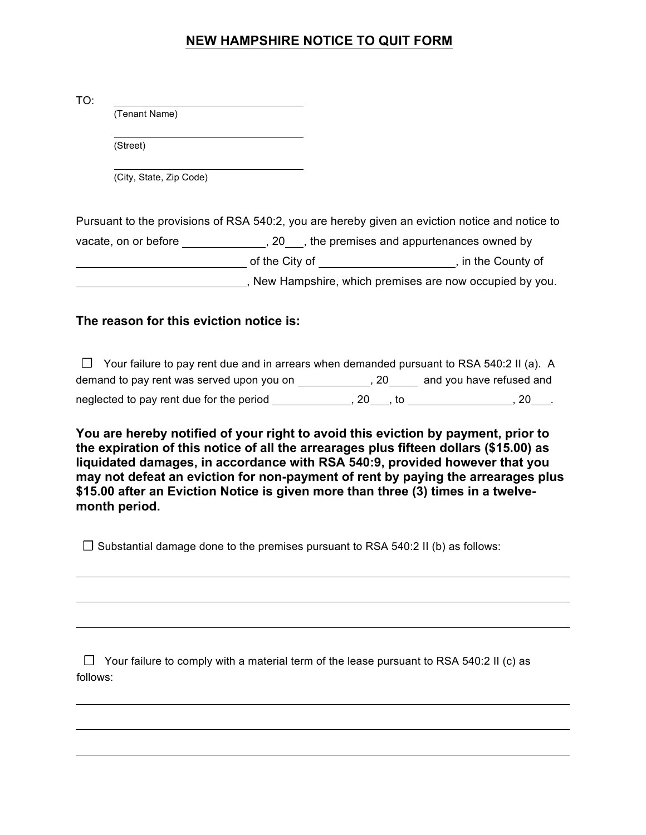## **NEW HAMPSHIRE NOTICE TO QUIT FORM**

| TO:                                                                            |                         |                                                                                                |
|--------------------------------------------------------------------------------|-------------------------|------------------------------------------------------------------------------------------------|
|                                                                                | (Tenant Name)           |                                                                                                |
|                                                                                | (Street)                |                                                                                                |
|                                                                                | (City, State, Zip Code) |                                                                                                |
|                                                                                |                         | Pursuant to the provisions of RSA 540:2, you are hereby given an eviction notice and notice to |
| vacate, on or before the same state of the premises and appurtenances owned by |                         |                                                                                                |
|                                                                                |                         | of the City of ________________________________, in the County of                              |
|                                                                                |                         | , New Hampshire, which premises are now occupied by you.                                       |

## **The reason for this eviction notice is:**

 $\Box$  Your failure to pay rent due and in arrears when demanded pursuant to RSA 540:2 II (a). A demand to pay rent was served upon you on \_\_\_\_\_\_\_\_\_\_\_\_\_, 20 \_\_\_\_\_ and you have refused and neglected to pay rent due for the period  $\frac{1}{2}$ , 20,  $\frac{1}{2}$ , to  $\frac{1}{2}$ ,  $\frac{1}{2}$ , 20,  $\frac{1}{2}$ ,

**You are hereby notified of your right to avoid this eviction by payment, prior to the expiration of this notice of all the arrearages plus fifteen dollars (\$15.00) as liquidated damages, in accordance with RSA 540:9, provided however that you may not defeat an eviction for non-payment of rent by paying the arrearages plus \$15.00 after an Eviction Notice is given more than three (3) times in a twelvemonth period.** 

**☐** Substantial damage done to the premises pursuant to RSA 540:2 II (b) as follows:

**☐** Your failure to comply with a material term of the lease pursuant to RSA 540:2 II (c) as follows: